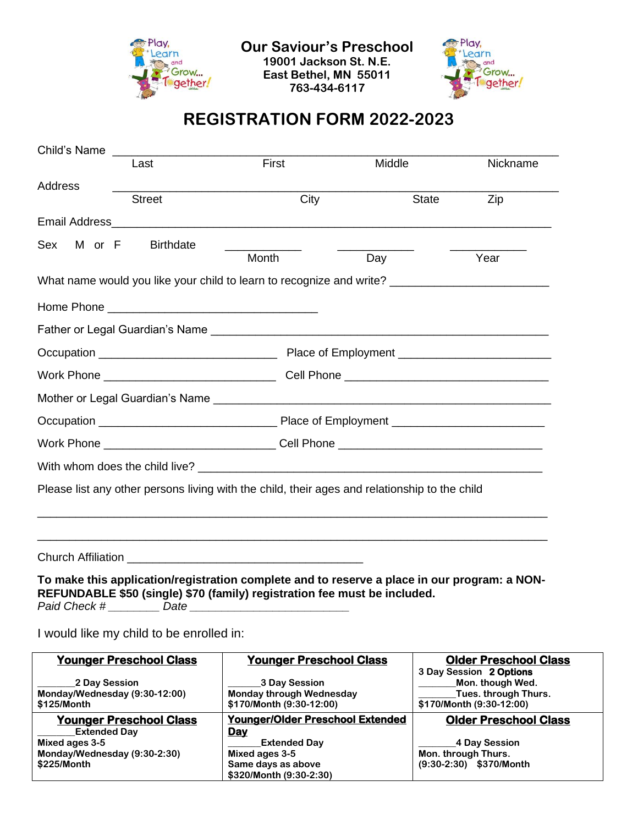

**Our Saviour's Preschool 19001 Jackson St. N.E. East Bethel, MN 55011 763-434-6117**



## **REGISTRATION FORM 2022-2023**

| Child's Name  |                                                                           |       |                                                                                                      |          |  |  |  |
|---------------|---------------------------------------------------------------------------|-------|------------------------------------------------------------------------------------------------------|----------|--|--|--|
| Last          |                                                                           | First | Middle                                                                                               | Nickname |  |  |  |
| Address       |                                                                           |       |                                                                                                      |          |  |  |  |
|               | <b>Street</b>                                                             | City  | <b>State</b>                                                                                         | Zip      |  |  |  |
|               |                                                                           |       |                                                                                                      |          |  |  |  |
| Sex<br>M or F | <b>Birthdate</b>                                                          |       |                                                                                                      |          |  |  |  |
|               |                                                                           | Month | Day                                                                                                  | Year     |  |  |  |
|               |                                                                           |       | What name would you like your child to learn to recognize and write? _______________________________ |          |  |  |  |
|               |                                                                           |       |                                                                                                      |          |  |  |  |
|               |                                                                           |       |                                                                                                      |          |  |  |  |
|               |                                                                           |       |                                                                                                      |          |  |  |  |
|               |                                                                           |       |                                                                                                      |          |  |  |  |
|               |                                                                           |       |                                                                                                      |          |  |  |  |
|               |                                                                           |       |                                                                                                      |          |  |  |  |
|               |                                                                           |       |                                                                                                      |          |  |  |  |
|               |                                                                           |       |                                                                                                      |          |  |  |  |
|               |                                                                           |       | Please list any other persons living with the child, their ages and relationship to the child        |          |  |  |  |
|               |                                                                           |       |                                                                                                      |          |  |  |  |
|               |                                                                           |       |                                                                                                      |          |  |  |  |
|               |                                                                           |       |                                                                                                      |          |  |  |  |
|               | REFUNDABLE \$50 (single) \$70 (family) registration fee must be included. |       | To make this application/registration complete and to reserve a place in our program: a NON-         |          |  |  |  |

*Paid Check # \_\_\_\_\_\_\_\_ Date \_\_\_\_\_\_\_\_\_\_\_\_\_\_\_\_\_\_\_\_\_\_\_\_\_*

I would like my child to be enrolled in:

| <b>Younger Preschool Class</b> | <b>Younger Preschool Class</b>          | <b>Older Preschool Class</b> |
|--------------------------------|-----------------------------------------|------------------------------|
|                                |                                         | 3 Day Session 2 Options      |
| 2 Day Session                  | <b>3 Day Session</b>                    | Mon. though Wed.             |
| Monday/Wednesday (9:30-12:00)  | <b>Monday through Wednesday</b>         | Tues. through Thurs.         |
| \$125/Month                    | \$170/Month (9:30-12:00)                | \$170/Month (9:30-12:00)     |
| <b>Younger Preschool Class</b> | <b>Younger/Older Preschool Extended</b> | <b>Older Preschool Class</b> |
| <b>Extended Day</b>            | <u>Day</u>                              |                              |
| Mixed ages 3-5                 | <b>Extended Day</b>                     | 4 Day Session                |
| Monday/Wednesday (9:30-2:30)   | Mixed ages 3-5                          | Mon. through Thurs.          |
| \$225/Month                    | Same days as above                      | (9:30-2:30) \$370/Month      |
|                                | \$320/Month (9:30-2:30)                 |                              |